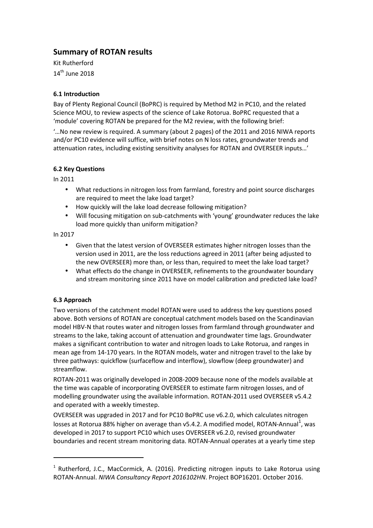# **Summary of ROTAN results**

Kit Rutherford  $14<sup>th</sup>$  June 2018

# **6.1 Introduction**

Bay of Plenty Regional Council (BoPRC) is required by Method M2 in PC10, and the related Science MOU, to review aspects of the science of Lake Rotorua. BoPRC requested that a 'module' covering ROTAN be prepared for the M2 review, with the following brief:

'…No new review is required. A summary (about 2 pages) of the 2011 and 2016 NIWA reports and/or PC10 evidence will suffice, with brief notes on N loss rates, groundwater trends and attenuation rates, including existing sensitivity analyses for ROTAN and OVERSEER inputs…'

## **6.2 Key Questions**

In 2011

- What reductions in nitrogen loss from farmland, forestry and point source discharges are required to meet the lake load target?
- How quickly will the lake load decrease following mitigation?
- Will focusing mitigation on sub-catchments with 'young' groundwater reduces the lake load more quickly than uniform mitigation?

In 2017

- Given that the latest version of OVERSEER estimates higher nitrogen losses than the version used in 2011, are the loss reductions agreed in 2011 (after being adjusted to the new OVERSEER) more than, or less than, required to meet the lake load target?
- What effects do the change in OVERSEER, refinements to the groundwater boundary and stream monitoring since 2011 have on model calibration and predicted lake load?

# **6.3 Approach**

l

Two versions of the catchment model ROTAN were used to address the key questions posed above. Both versions of ROTAN are conceptual catchment models based on the Scandinavian model HBV-N that routes water and nitrogen losses from farmland through groundwater and streams to the lake, taking account of attenuation and groundwater time lags. Groundwater makes a significant contribution to water and nitrogen loads to Lake Rotorua, and ranges in mean age from 14-170 years. In the ROTAN models, water and nitrogen travel to the lake by three pathways: quickflow (surfaceflow and interflow), slowflow (deep groundwater) and streamflow.

ROTAN-2011 was originally developed in 2008-2009 because none of the models available at the time was capable of incorporating OVERSEER to estimate farm nitrogen losses, and of modelling groundwater using the available information. ROTAN-2011 used OVERSEER v5.4.2 and operated with a weekly timestep.

OVERSEER was upgraded in 2017 and for PC10 BoPRC use v6.2.0, which calculates nitrogen losses at Rotorua 88% higher on average than v5.4.2. A modified model, ROTAN-Annual $^1$ , was developed in 2017 to support PC10 which uses OVERSEER v6.2.0, revised groundwater boundaries and recent stream monitoring data. ROTAN-Annual operates at a yearly time step

<sup>&</sup>lt;sup>1</sup> Rutherford, J.C., MacCormick, A. (2016). Predicting nitrogen inputs to Lake Rotorua using ROTAN-Annual. *NIWA Consultancy Report 2016102HN*. Project BOP16201. October 2016.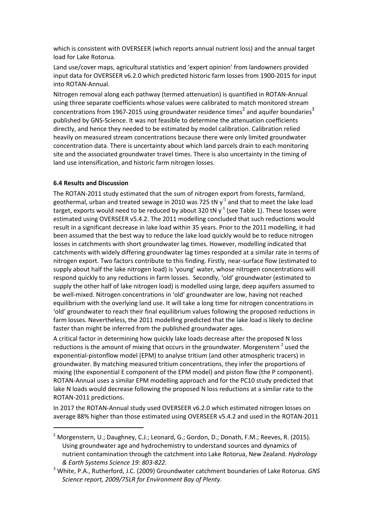which is consistent with OVERSEER (which reports annual nutrient loss) and the annual target load for Lake Rotorua.

Land use/cover maps, agricultural statistics and 'expert opinion' from landowners provided input data for OVERSEER v6.2.0 which predicted historic farm losses from 1900-2015 for input into ROTAN-Annual.

Nitrogen removal along each pathway (termed attenuation) is quantified in ROTAN-Annual using three separate coefficients whose values were calibrated to match monitored stream concentrations from 1967-2015 using groundwater residence times<sup>2</sup> and aquifer boundaries<sup>3</sup> published by GNS-Science. It was not feasible to determine the attenuation coefficients directly, and hence they needed to be estimated by model calibration. Calibration relied heavily on measured stream concentrations because there were only limited groundwater concentration data. There is uncertainty about which land parcels drain to each monitoring site and the associated groundwater travel times. There is also uncertainty in the timing of land use intensification, and historic farm nitrogen losses.

### **6.4 Results and Discussion**

 $\overline{\phantom{a}}$ 

The ROTAN-2011 study estimated that the sum of nitrogen export from forests, farmland, geothermal, urban and treated sewage in 2010 was 725 tN  $y<sup>-1</sup>$  and that to meet the lake load target, exports would need to be reduced by about 320 tN  $v<sup>1</sup>$  (see Table 1). These losses were estimated using OVERSEER v5.4.2. The 2011 modelling concluded that such reductions would result in a significant decrease in lake load within 35 years. Prior to the 2011 modelling, it had been assumed that the best way to reduce the lake load quickly would be to reduce nitrogen losses in catchments with short groundwater lag times. However, modelling indicated that catchments with widely differing groundwater lag times responded at a similar rate in terms of nitrogen export. Two factors contribute to this finding. Firstly, near-surface flow (estimated to supply about half the lake nitrogen load) is 'young' water, whose nitrogen concentrations will respond quickly to any reductions in farm losses. Secondly, 'old' groundwater (estimated to supply the other half of lake nitrogen load) is modelled using large, deep aquifers assumed to be well-mixed. Nitrogen concentrations in 'old' groundwater are low, having not reached equilibrium with the overlying land use. It will take a long time for nitrogen concentrations in 'old' groundwater to reach their final equilibrium values following the proposed reductions in farm losses. Nevertheless, the 2011 modelling predicted that the lake load is likely to decline faster than might be inferred from the published groundwater ages.

A critical factor in determining how quickly lake loads decrease after the proposed N loss reductions is the amount of mixing that occurs in the groundwater. Morgenstern  $^2$  used the exponential-pistonflow model (EPM) to analyse tritium (and other atmospheric tracers) in groundwater. By matching measured tritium concentrations, they infer the proportions of mixing (the exponential E component of the EPM model) and piston flow (the P component). ROTAN-Annual uses a similar EPM modelling approach and for the PC10 study predicted that lake N loads would decrease following the proposed N loss reductions at a similar rate to the ROTAN-2011 predictions.

In 2017 the ROTAN-Annual study used OVERSEER v6.2.0 which estimated nitrogen losses on average 88% higher than those estimated using OVERSEER v5.4.2 and used in the ROTAN-2011

<sup>&</sup>lt;sup>2</sup> Morgenstern, U.; Daughney, C.J.; Leonard, G.; Gordon, D.; Donath, F.M.; Reeves, R. (2015). Using groundwater age and hydrochemistry to understand sources and dynamics of nutrient contamination through the catchment into Lake Rotorua, New Zealand. *Hydrology & Earth Systems Science 19: 803-822.*

<sup>3</sup> White, P.A., Rutherford, J.C. (2009) Groundwater catchment boundaries of Lake Rotorua. *GNS Science report, 2009/75LR for Environment Bay of Plenty.*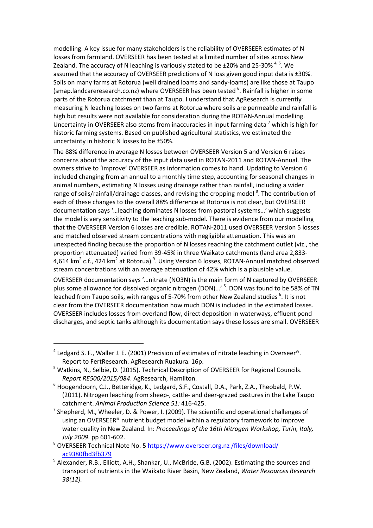modelling. A key issue for many stakeholders is the reliability of OVERSEER estimates of N losses from farmland. OVERSEER has been tested at a limited number of sites across New Zealand. The accuracy of N leaching is variously stated to be  $\pm 20\%$  and 25-30%  $^{4,5}$ . We assumed that the accuracy of OVERSEER predictions of N loss given good input data is  $\pm 30\%$ . Soils on many farms at Rotorua (well drained loams and sandy-loams) are like those at Taupo (smap.landcareresearch.co.nz) where OVERSEER has been tested <sup>6</sup>. Rainfall is higher in some parts of the Rotorua catchment than at Taupo. I understand that AgResearch is currently measuring N leaching losses on two farms at Rotorua where soils are permeable and rainfall is high but results were not available for consideration during the ROTAN-Annual modelling. Uncertainty in OVERSEER also stems from inaccuracies in input farming data  $^7$  which is high for historic farming systems. Based on published agricultural statistics, we estimated the uncertainty in historic N losses to be ±50%.

The 88% difference in average N losses between OVERSEER Version 5 and Version 6 raises concerns about the accuracy of the input data used in ROTAN-2011 and ROTAN-Annual. The owners strive to 'improve' OVERSEER as information comes to hand. Updating to Version 6 included changing from an annual to a monthly time step, accounting for seasonal changes in animal numbers, estimating N losses using drainage rather than rainfall, including a wider range of soils/rainfall/drainage classes, and revising the cropping model <sup>8</sup>. The contribution of each of these changes to the overall 88% difference at Rotorua is not clear, but OVERSEER documentation says '…leaching dominates N losses from pastoral systems…' which suggests the model is very sensitivity to the leaching sub-model. There is evidence from our modelling that the OVERSEER Version 6 losses are credible. ROTAN-2011 used OVERSEER Version 5 losses and matched observed stream concentrations with negligible attenuation. This was an unexpected finding because the proportion of N losses reaching the catchment outlet (viz., the proportion attenuated) varied from 39-45% in three Waikato catchments (land area 2,833- 4,614 km<sup>2</sup> c.f., 424 km<sup>2</sup> at Rotorua) <sup>9</sup>. Using Version 6 losses, ROTAN-Annual matched observed stream concentrations with an average attenuation of 42% which is a plausible value.

OVERSEER documentation says '…nitrate (NO3N) is the main form of N captured by OVERSEER plus some allowance for dissolved organic nitrogen (DON)...' <sup>5</sup>. DON was found to be 58% of TN leached from Taupo soils, with ranges of 5-70% from other New Zealand studies <sup>6</sup>. It is not clear from the OVERSEER documentation how much DON is included in the estimated losses. OVERSEER includes losses from overland flow, direct deposition in waterways, effluent pond discharges, and septic tanks although its documentation says these losses are small. OVERSEER

 $\overline{\phantom{a}}$ 

 $<sup>4</sup>$  Ledgard S. F., Waller J. E. (2001) Precision of estimates of nitrate leaching in Overseer®.</sup> Report to FertResearch. AgResearch Ruakura. 16p.

<sup>&</sup>lt;sup>5</sup> Watkins, N., Selbie, D. (2015). Technical Description of OVERSEER for Regional Councils. *Report RE500/2015/084*. AgResearch, Hamilton.

<sup>&</sup>lt;sup>6</sup> Hoogendoorn, C.J., Betteridge, K., Ledgard, S.F., Costall, D.A., Park, Z.A., Theobald, P.W. (2011). Nitrogen leaching from sheep-, cattle- and deer-grazed pastures in the Lake Taupo catchment. *Animal Production Science 51:* 416-425.

<sup>&</sup>lt;sup>7</sup> Shepherd, M., Wheeler, D. & Power, I. (2009). The scientific and operational challenges of using an OVERSEER® nutrient budget model within a regulatory framework to improve water quality in New Zealand. In: *Proceedings of the 16th Nitrogen Workshop, Turin, Italy, July 2009.* pp 601-602.

<sup>&</sup>lt;sup>8</sup> OVERSEER Technical Note No. 5 https://www.overseer.org.nz /files/download/ ac9380fbd3fb379

<sup>&</sup>lt;sup>9</sup> Alexander, R.B., Elliott, A.H., Shankar, U., McBride, G.B. (2002). Estimating the sources and transport of nutrients in the Waikato River Basin, New Zealand, *Water Resources Research 38(12).*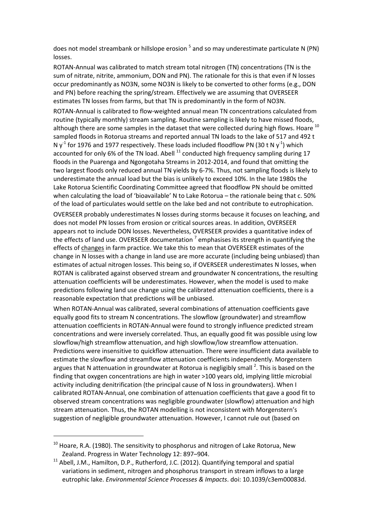does not model streambank or hillslope erosion <sup>5</sup> and so may underestimate particulate N (PN) losses.

ROTAN-Annual was calibrated to match stream total nitrogen (TN) concentrations (TN is the sum of nitrate, nitrite, ammonium, DON and PN). The rationale for this is that even if N losses occur predominantly as NO3N, some NO3N is likely to be converted to other forms (e.g., DON and PN) before reaching the spring/stream. Effectively we are assuming that OVERSEER estimates TN losses from farms, but that TN is predominantly in the form of NO3N.

ROTAN-Annual is calibrated to flow-weighted annual mean TN concentrations calculated from routine (typically monthly) stream sampling. Routine sampling is likely to have missed floods, although there are some samples in the dataset that were collected during high flows. Hoare <sup>10</sup> sampled floods in Rotorua streams and reported annual TN loads to the lake of 517 and 492 t N  $y<sup>-1</sup>$  for 1976 and 1977 respectively. These loads included floodflow PN (30 t N  $y<sup>-1</sup>$ ) which accounted for only 6% of the TN load. Abell  $^{11}$  conducted high frequency sampling during 17 floods in the Puarenga and Ngongotaha Streams in 2012-2014, and found that omitting the two largest floods only reduced annual TN yields by 6-7%. Thus, not sampling floods is likely to underestimate the annual load but the bias is unlikely to exceed 10%. In the late 1980s the Lake Rotorua Scientific Coordinating Committee agreed that floodflow PN should be omitted when calculating the load of 'bioavailable' N to Lake Rotorua – the rationale being that c. 50% of the load of particulates would settle on the lake bed and not contribute to eutrophication.

OVERSEER probably underestimates N losses during storms because it focuses on leaching, and does not model PN losses from erosion or critical sources areas. In addition, OVERSEER appears not to include DON losses. Nevertheless, OVERSEER provides a quantitative index of the effects of land use. OVERSEER documentation<sup>7</sup> emphasises its strength in quantifying the effects of changes in farm practice. We take this to mean that OVERSEER estimates of the change in N losses with a change in land use are more accurate (including being unbiased) than estimates of actual nitrogen losses. This being so, if OVERSEER underestimates N losses, when ROTAN is calibrated against observed stream and groundwater N concentrations, the resulting attenuation coefficients will be underestimates. However, when the model is used to make predictions following land use change using the calibrated attenuation coefficients, there is a reasonable expectation that predictions will be unbiased.

When ROTAN-Annual was calibrated, several combinations of attenuation coefficients gave equally good fits to stream N concentrations. The slowflow (groundwater) and streamflow attenuation coefficients in ROTAN-Annual were found to strongly influence predicted stream concentrations and were inversely correlated. Thus, an equally good fit was possible using low slowflow/high streamflow attenuation, and high slowflow/low streamflow attenuation. Predictions were insensitive to quickflow attenuation. There were insufficient data available to estimate the slowflow and streamflow attenuation coefficients independently. Morgenstern argues that N attenuation in groundwater at Rotorua is negligibly small  $^2$ . This is based on the finding that oxygen concentrations are high in water >100 years old, implying little microbial activity including denitrification (the principal cause of N loss in groundwaters). When I calibrated ROTAN-Annual, one combination of attenuation coefficients that gave a good fit to observed stream concentrations was negligible groundwater (slowflow) attenuation and high stream attenuation. Thus, the ROTAN modelling is not inconsistent with Morgenstern's suggestion of negligible groundwater attenuation. However, I cannot rule out (based on

 $\overline{\phantom{a}}$ 

 $10$  Hoare, R.A. (1980). The sensitivity to phosphorus and nitrogen of Lake Rotorua, New Zealand. Progress in Water Technology 12: 897–904.

<sup>&</sup>lt;sup>11</sup> Abell, J.M., Hamilton, D.P., Rutherford, J.C. (2012). Quantifying temporal and spatial variations in sediment, nitrogen and phosphorus transport in stream inflows to a large eutrophic lake. *Environmental Science Processes & Impacts*. doi: 10.1039/c3em00083d.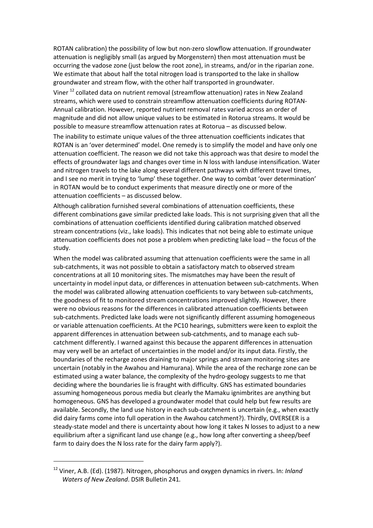ROTAN calibration) the possibility of low but non-zero slowflow attenuation. If groundwater attenuation is negligibly small (as argued by Morgenstern) then most attenuation must be occurring the vadose zone (just below the root zone), in streams, and/or in the riparian zone. We estimate that about half the total nitrogen load is transported to the lake in shallow groundwater and stream flow, with the other half transported in groundwater.

Viner<sup>12</sup> collated data on nutrient removal (streamflow attenuation) rates in New Zealand streams, which were used to constrain streamflow attenuation coefficients during ROTAN-Annual calibration. However, reported nutrient removal rates varied across an order of magnitude and did not allow unique values to be estimated in Rotorua streams. It would be possible to measure streamflow attenuation rates at Rotorua – as discussed below.

The inability to estimate unique values of the three attenuation coefficients indicates that ROTAN is an 'over determined' model. One remedy is to simplify the model and have only one attenuation coefficient. The reason we did not take this approach was that desire to model the effects of groundwater lags and changes over time in N loss with landuse intensification. Water and nitrogen travels to the lake along several different pathways with different travel times, and I see no merit in trying to 'lump' these together. One way to combat 'over determination' in ROTAN would be to conduct experiments that measure directly one or more of the attenuation coefficients – as discussed below.

Although calibration furnished several combinations of attenuation coefficients, these different combinations gave similar predicted lake loads. This is not surprising given that all the combinations of attenuation coefficients identified during calibration matched observed stream concentrations (viz., lake loads). This indicates that not being able to estimate unique attenuation coefficients does not pose a problem when predicting lake load – the focus of the study.

When the model was calibrated assuming that attenuation coefficients were the same in all sub-catchments, it was not possible to obtain a satisfactory match to observed stream concentrations at all 10 monitoring sites. The mismatches may have been the result of uncertainty in model input data, or differences in attenuation between sub-catchments. When the model was calibrated allowing attenuation coefficients to vary between sub-catchments, the goodness of fit to monitored stream concentrations improved slightly. However, there were no obvious reasons for the differences in calibrated attenuation coefficients between sub-catchments. Predicted lake loads were not significantly different assuming homogeneous or variable attenuation coefficients. At the PC10 hearings, submitters were keen to exploit the apparent differences in attenuation between sub-catchments, and to manage each subcatchment differently. I warned against this because the apparent differences in attenuation may very well be an artefact of uncertainties in the model and/or its input data. Firstly, the boundaries of the recharge zones draining to major springs and stream monitoring sites are uncertain (notably in the Awahou and Hamurana). While the area of the recharge zone can be estimated using a water balance, the complexity of the hydro-geology suggests to me that deciding where the boundaries lie is fraught with difficulty. GNS has estimated boundaries assuming homogeneous porous media but clearly the Mamaku ignimbrites are anything but homogeneous. GNS has developed a groundwater model that could help but few results are available. Secondly, the land use history in each sub-catchment is uncertain (e.g., when exactly did dairy farms come into full operation in the Awahou catchment?). Thirdly, OVERSEER is a steady-state model and there is uncertainty about how long it takes N losses to adjust to a new equilibrium after a significant land use change (e.g., how long after converting a sheep/beef farm to dairy does the N loss rate for the dairy farm apply?).

<sup>12</sup> Viner, A.B. (Ed). (1987). Nitrogen, phosphorus and oxygen dynamics in rivers. In: *Inland Waters of New Zealand*. DSIR Bulletin 241*.*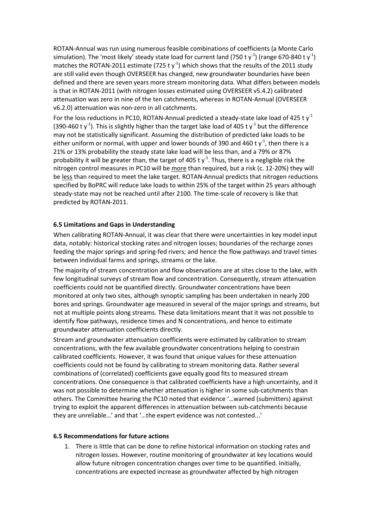ROTAN-Annual was run using numerous feasible combinations of coefficients (a Monte Carlo simulation). The 'most likely' steady state load for current land (750 t y<sup>-1</sup>) (range 670-840 t y<sup>-1</sup>) matches the ROTAN-2011 estimate (725 t  $y^{-1}$ ) which shows that the results of the 2011 study are still valid even though OVERSEER has changed, new groundwater boundaries have been defined and there are seven years more stream monitoring data. What differs between models is that in ROTAN-2011 (with nitrogen losses estimated using OVERSEER v5.4.2) calibrated attenuation was zero in nine of the ten catchments, whereas in ROTAN-Annual (OVERSEER v6.2.0) attenuation was non-zero in all catchments.

For the loss reductions in PC10, ROTAN-Annual predicted a steady-state lake load of 425 t  $y<sup>-1</sup>$ (390-460 t y<sup>-1</sup>). This is slightly higher than the target lake load of 405 t y<sup>-1</sup> but the difference may not be statistically significant. Assuming the distribution of predicted lake loads to be either uniform or normal, with upper and lower bounds of 390 and 460 t  $y<sup>-1</sup>$ , then there is a 21% or 13% probability the steady state lake load will be less than, and a 79% or 87% probability it will be greater than, the target of 405 t  $y<sup>-1</sup>$ . Thus, there is a negligible risk the nitrogen control measures in PC10 will be more than required, but a risk (c. 12-20%) they will be less than required to meet the lake target. ROTAN-Annual predicts that nitrogen reductions specified by BoPRC will reduce lake loads to within 25% of the target within 25 years although steady-state may not be reached until after 2100. The time-scale of recovery is like that predicted by ROTAN-2011.

## **6.5 Limitations and Gaps in Understanding**

When calibrating ROTAN-Annual, it was clear that there were uncertainties in key model input data, notably: historical stocking rates and nitrogen losses; boundaries of the recharge zones feeding the major springs and spring-fed rivers; and hence the flow pathways and travel times between individual farms and springs, streams or the lake.

The majority of stream concentration and flow observations are at sites close to the lake, with few longitudinal surveys of stream flow and concentration. Consequently, stream attenuation coefficients could not be quantified directly. Groundwater concentrations have been monitored at only two sites, although synoptic sampling has been undertaken in nearly 200 bores and springs. Groundwater age measured in several of the major springs and streams, but not at multiple points along streams. These data limitations meant that it was not possible to identify flow pathways, residence times and N concentrations, and hence to estimate groundwater attenuation coefficients directly.

Stream and groundwater attenuation coefficients were estimated by calibration to stream concentrations, with the few available groundwater concentrations helping to constrain calibrated coefficients. However, it was found that unique values for these attenuation coefficients could not be found by calibrating to stream monitoring data. Rather several combinations of (correlated) coefficients gave equally good fits to measured stream concentrations. One consequence is that calibrated coefficients have a high uncertainty, and it was not possible to determine whether attenuation is higher in some sub-catchments than others. The Committee hearing the PC10 noted that evidence '…warned (submitters) against trying to exploit the apparent differences in attenuation between sub-catchments because they are unreliable…' and that '…the expert evidence was not contested...'

### **6.5 Recommendations for future actions**

1. There is little that can be done to refine historical information on stocking rates and nitrogen losses. However, routine monitoring of groundwater at key locations would allow future nitrogen concentration changes over time to be quantified. Initially, concentrations are expected increase as groundwater affected by high nitrogen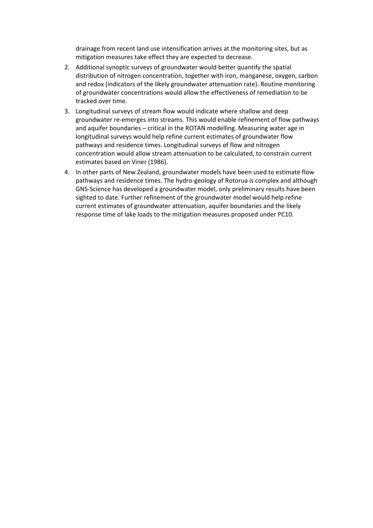drainage from recent land use intensification arrives at the monitoring sites, but as mitigation measures take effect they are expected to decrease.

- 2. Additional synoptic surveys of groundwater would better quantify the spatial distribution of nitrogen concentration, together with iron, manganese, oxygen, carbon and redox (indicators of the likely groundwater attenuation rate). Routine monitoring of groundwater concentrations would allow the effectiveness of remediation to be tracked over time.
- 3. Longitudinal surveys of stream flow would indicate where shallow and deep groundwater re-emerges into streams. This would enable refinement of flow pathways and aquifer boundaries – critical in the ROTAN modelling. Measuring water age in longitudinal surveys would help refine current estimates of groundwater flow pathways and residence times. Longitudinal surveys of flow and nitrogen concentration would allow stream attenuation to be calculated, to constrain current estimates based on Viner (1986).
- 4. In other parts of New Zealand, groundwater models have been used to estimate flow pathways and residence times. The hydro-geology of Rotorua is complex and although GNS-Science has developed a groundwater model, only preliminary results have been sighted to date. Further refinement of the groundwater model would help refine current estimates of groundwater attenuation, aquifer boundaries and the likely response time of lake loads to the mitigation measures proposed under PC10.